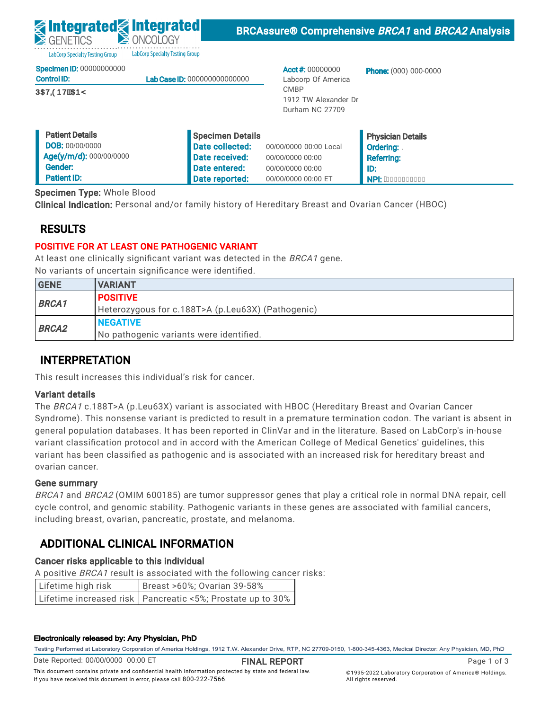LabCorp Specialty Testing Group abCorp Specialty Testing Group

|  | Specimen ID: 00000000000 |
|--|--------------------------|
|  |                          |

| <b>Control ID:</b>   | <b>Lab Case ID: 000000000000000</b> |
|----------------------|-------------------------------------|
| <b>ÚŒVODÞVÉKDEPŸ</b> |                                     |

Acct #: 00000000 Labcorp Of America CMBP 1912 TW Alexander Dr Durham NC 27709

Phone: (000) 000-0000

| <b>Patient Details</b>  | Specimen Details |                        | <b>Physician Details</b> |
|-------------------------|------------------|------------------------|--------------------------|
| <b>DOB: 00/00/0000</b>  | Date collected:  | 00/00/0000 00:00 Local | <b>Ordering:</b>         |
| Age(y/m/d): 000/00/0000 | Date received:   | 00/00/0000 00:00       | <b>Referring:</b>        |
| Gender:                 | Date entered:    | 00/00/0000 00:00       | l ID:                    |
| <b>Patient ID:</b>      | Date reported:   | 00/00/0000 00:00 ET    | <b>NPI: AEEEEEEEEEE</b>  |

Specimen Type: Whole Blood

Clinical Indication: Personal and/or family history of Hereditary Breast and Ovarian Cancer (HBOC)

# RESULTS

## POSITIVE FOR AT LEAST ONE PATHOGENIC VARIANT

At least one clinically significant variant was detected in the BRCA1 gene. No variants of uncertain significance were identified.

| <b>GENE</b>  | <b>VARIANT</b>                                    |
|--------------|---------------------------------------------------|
|              | <b>POSITIVE</b>                                   |
| <b>BRCA1</b> | Heterozygous for c.188T>A (p.Leu63X) (Pathogenic) |
|              | <b>NEGATIVE</b>                                   |
| <b>BRCA2</b> | No pathogenic variants were identified.           |

## INTERPRETATION

This result increases this individual's risk for cancer.

## Variant details

The BRCA1 c.188T>A (p.Leu63X) variant is associated with HBOC (Hereditary Breast and Ovarian Cancer Syndrome). This nonsense variant is predicted to result in a premature termination codon. The variant is absent in general population databases. It has been reported in ClinVar and in the literature. Based on LabCorp's in-house variant classification protocol and in accord with the American College of Medical Genetics' guidelines, this variant has been classified as pathogenic and is associated with an increased risk for hereditary breast and ovarian cancer.

### Gene summary

BRCA1 and BRCA2 (OMIM 600185) are tumor suppressor genes that play a critical role in normal DNA repair, cell cycle control, and genomic stability. Pathogenic variants in these genes are associated with familial cancers, including breast, ovarian, pancreatic, prostate, and melanoma.

# ADDITIONAL CLINICAL INFORMATION

## Cancer risks applicable to this individual

A positive BRCA1 result is associated with the following cancer risks:

| Lifetime high risk | Breast >60%; Ovarian 39-58%                                  |
|--------------------|--------------------------------------------------------------|
|                    | Lifetime increased risk   Pancreatic <5%; Prostate up to 30% |

#### Electronically released by: Any Physician, PhD

Testing Performed at Laboratory Corporation of America Holdings, 1912 T.W. Alexander Drive, RTP, NC 27709-0150, 1-800-345-4363, Medical Director: Any Physician, MD, PhD

Date Reported: 00/00/0000 00:00 ET

FINAL REPORT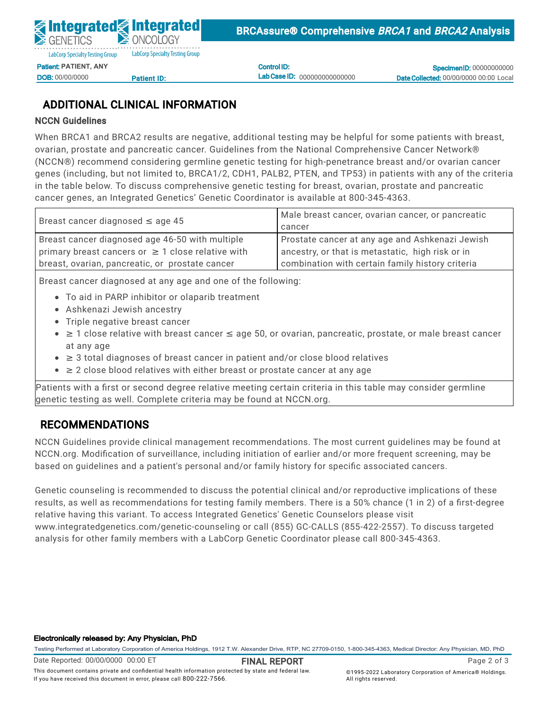Control ID: Lab Case ID: 000000000000000

**Specimen ID: 00000000000** Date Collected: 00/00/0000 00:00 Local

# ADDITIONAL CLINICAL INFORMATION

### NCCN Guidelines

When BRCA1 and BRCA2 results are negative, additional testing may be helpful for some patients with breast, ovarian, prostate and pancreatic cancer. Guidelines from the National Comprehensive Cancer Network® (NCCN®) recommend considering germline genetic testing for high-penetrance breast and/or ovarian cancer General Control Communications Patient International Date entered: 05/02/2022 11:51  $\sum_{i=1}^{n}$ ID:<br>N:112 genes (including, but not limited to, BRCA1/2, CDH1, PALB2, PTEN, and TP53) in patients with any of the criteria<br>. Specimen Type: Whole Blood cancer genes, an Integrated Genetics' Genetic Coordinator is available at 800-345-4363. Clinical Indian Indian Indian and Or family history of Hereditary Breast and Ovarian Cancer (HBOC) and Ovarian in the table below. To discuss comprehensive genetic testing for breast, ovarian, prostate and pancreatic

| Breast cancer diagnosed $\leq$ age 45                  | Male breast cancer, ovarian cancer, or pancreatic |
|--------------------------------------------------------|---------------------------------------------------|
|                                                        | cancer                                            |
| Breast cancer diagnosed age 46-50 with multiple        | Prostate cancer at any age and Ashkenazi Jewish   |
| primary breast cancers or $\geq 1$ close relative with | ancestry, or that is metastatic, high risk or in  |
| breast, ovarian, pancreatic, or prostate cancer        | combination with certain family history criteria  |
|                                                        |                                                   |

Breast cancer diagnosed at any age and one of the following:

- To aid in PARP inhibitor or olaparib treatment
- **BRCAN CONSTRUCTED FOR CONSTRUCTION**<br>• Ashkenazi Jewish ancestry
	- Triple negative breast cancer
- $\bullet$  ≥ 1 close relative with breast cancer ≤ age 50, or ovarian, pancreatic, prostate, or male breast cancer at any age
- $\bullet$   $\geq$  3 total diagnoses of breast cancer in patient and/or close blood relatives
- This result increases this individual's risk for cancer. ■ ≥ 2 close blood relatives with either breast or prostate cancer at any age

variant det det<br>Sepation teoring genetic testing as well. Complete criteria may be found at NCCN.org. Patients with a first or second degree relative meeting certain criteria in this table may consider germline

#### RECOMMENDATIONS THIS NONSENSE VARIANT IS predicted to result in a predicted to result in a predicted to result in a predicted to result in a predicted to result in a predicted to result in a predicted to result in a predic general population databases. It has been reported in ClinVar and in the literature. Based on LabCorp's in-house

NCCN Guidelines provide clinical management recommendations. The most current guidelines may be found at NCCN.org. Modification of surveillance, including initiation of earlier and/or more frequent screening, may be based on guidelines and a patient's personal and/or family history for specific associated cancers.

Gene summary Genetic counseling is recommended to discuss the potential clinical and/or reproductive implications of these  $\epsilon$ cycle control, and genomic stability. Pathogenic variants in these genes are associated with familial cancers, results, as well as recommendations for testing family members. There is a 50% chance (1 in 2) of a first-degree including breast, ovarian, pancreatic, prostate, and melanoma. relative having this variant. To access Integrated Genetics' Genetic Counselors please visit analysis for other family members with a LabCorp Genetic Coordinator please call 800-345-4363.<br>. www.integratedgenetics.com/genetic-counseling or call (855) GC-CALLS (855-422-2557). To discuss targeted

#### Electronically released by: Any Physician, PhD

Testing Performed at Laboratory Corporation of America Holdings, 1912 T.W. Alexander Drive, RTP, NC 27709-0150, 1-800-345-4363, Medical Director: Any Physician, MD, PhD